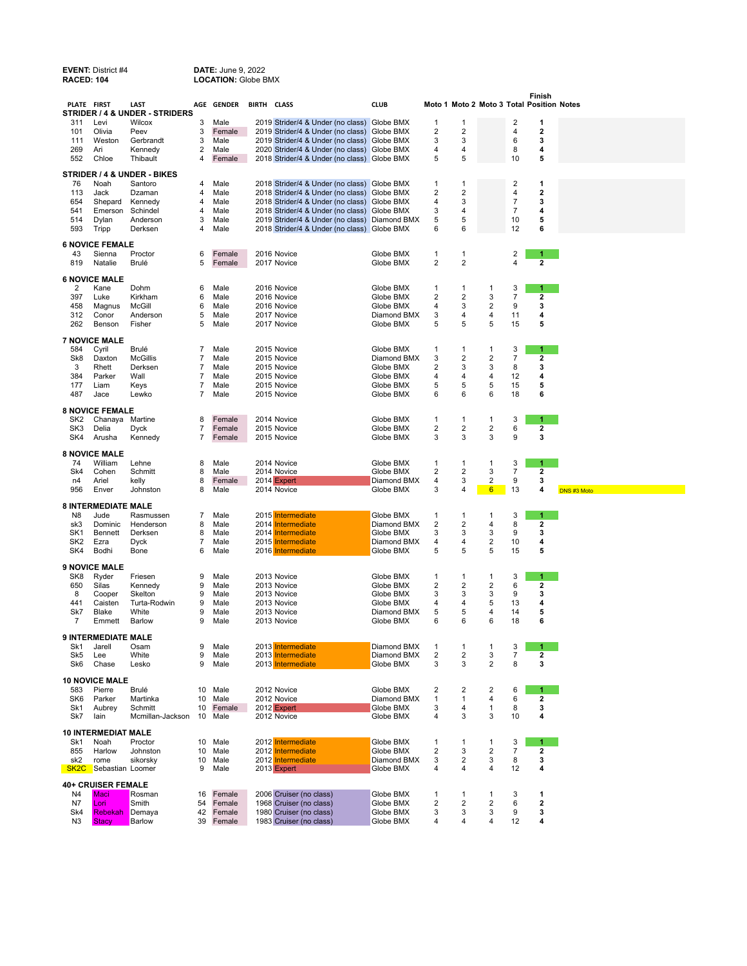| <b>EVENT: District #4</b><br><b>RACED: 104</b> |                                    | <b>DATE: June 9, 2022</b><br><b>LOCATION: Globe BMX</b> |        |                |             |                                                                                  |                            |                         |                         |                                           |                  |                         |             |
|------------------------------------------------|------------------------------------|---------------------------------------------------------|--------|----------------|-------------|----------------------------------------------------------------------------------|----------------------------|-------------------------|-------------------------|-------------------------------------------|------------------|-------------------------|-------------|
| PLATE FIRST                                    |                                    | LAST<br>STRIDER / 4 & UNDER - STRIDERS                  |        | AGE GENDER     | BIRTH CLASS |                                                                                  | <b>CLUB</b>                |                         |                         | Moto 1 Moto 2 Moto 3 Total Position Notes |                  | Finish                  |             |
| 311                                            | Levi                               | Wilcox                                                  | 3      | Male           |             | 2019 Strider/4 & Under (no class) Globe BMX                                      |                            | 1                       | 1                       |                                           | 2                | 1                       |             |
| 101                                            | Olivia                             | Peev                                                    | 3      | Female         |             | 2019 Strider/4 & Under (no class)                                                | Globe BMX                  | 2                       | $\mathbf 2$             |                                           | 4                | $\overline{\mathbf{2}}$ |             |
| 111                                            | Weston                             | Gerbrandt                                               | 3      | Male           |             | 2019 Strider/4 & Under (no class)                                                | Globe BMX                  | 3                       | 3<br>4                  |                                           | 6                | 3<br>4                  |             |
| 269<br>552                                     | Ari<br>Chloe                       | Kennedy<br>Thibault                                     | 2<br>4 | Male<br>Female |             | 2020 Strider/4 & Under (no class)<br>2018 Strider/4 & Under (no class) Globe BMX | Globe BMX                  | 4<br>5                  | 5                       |                                           | 8<br>10          | 5                       |             |
| STRIDER / 4 & UNDER - BIKES                    |                                    |                                                         |        |                |             |                                                                                  |                            |                         |                         |                                           |                  |                         |             |
| 76                                             | Noah                               | Santoro                                                 | 4      | Male           |             | 2018 Strider/4 & Under (no class)                                                | Globe BMX                  | 1                       | 1                       |                                           | 2                | 1                       |             |
| 113                                            | Jack                               | Dzaman                                                  | 4      | Male           |             | 2018 Strider/4 & Under (no class)                                                | Globe BMX                  | 2                       | $\overline{2}$          |                                           | 4                | $\overline{\mathbf{2}}$ |             |
| 654                                            | Shepard                            | Kennedy                                                 | 4      | Male           |             | 2018 Strider/4 & Under (no class)                                                | <b>Globe BMX</b>           | 4                       | 3                       |                                           | 7                | 3                       |             |
| 541                                            | Emerson Schindel                   |                                                         | 4      | Male           |             | 2018 Strider/4 & Under (no class) Globe BMX                                      |                            | 3                       | 4                       |                                           | 7                | 4                       |             |
| 514                                            | Dylan                              | Anderson                                                | 3      | Male           |             | 2019 Strider/4 & Under (no class)                                                | Diamond BMX                | 5                       | 5                       |                                           | 10               | 5                       |             |
| 593                                            | Tripp                              | Derksen                                                 | 4      | Male           |             | 2018 Strider/4 & Under (no class) Globe BMX                                      |                            | 6                       | 6                       |                                           | 12               | 6                       |             |
|                                                | <b>6 NOVICE FEMALE</b>             |                                                         |        |                |             |                                                                                  |                            |                         |                         |                                           |                  |                         |             |
| 43                                             | Sienna                             | Proctor                                                 | 6      | Female         |             | 2016 Novice                                                                      | Globe BMX                  | 1                       | $\mathbf{1}$            |                                           | 2                | 1                       |             |
| 819                                            | Natalie                            | Brulé                                                   | 5      | Female         |             | 2017 Novice                                                                      | Globe BMX                  | $\overline{2}$          | $\mathbf 2$             |                                           | 4                | 2                       |             |
|                                                | <b>6 NOVICE MALE</b>               |                                                         |        |                |             |                                                                                  |                            |                         |                         |                                           |                  |                         |             |
| $\overline{c}$                                 | Kane                               | Dohm                                                    | 6      | Male           |             | 2016 Novice                                                                      | Globe BMX                  | 1                       | -1                      | 1                                         | 3                | 1.                      |             |
| 397                                            | Luke                               | Kirkham                                                 | 6      | Male           |             | 2016 Novice                                                                      | Globe BMX                  | 2                       | $\overline{\mathbf{c}}$ | 3                                         | 7                | 2                       |             |
| 458                                            | Magnus                             | McGill                                                  | 6      | Male           |             | 2016 Novice                                                                      | Globe BMX                  | 4                       | 3                       | 2                                         | 9                | 3                       |             |
| 312                                            | Conor                              | Anderson                                                | 5      | Male           |             | 2017 Novice                                                                      | Diamond BMX                | 3<br>5                  | 4<br>5                  | 4<br>5                                    | 11               | 4                       |             |
| 262                                            | Benson                             | Fisher                                                  | 5      | Male           |             | 2017 Novice                                                                      | Globe BMX                  |                         |                         |                                           | 15               | 5                       |             |
|                                                | <b>7 NOVICE MALE</b>               |                                                         |        |                |             |                                                                                  |                            |                         |                         |                                           |                  |                         |             |
| 584                                            | Cyril                              | Brulé                                                   | 7      | Male           |             | 2015 Novice                                                                      | Globe BMX                  | 1                       | 1                       | 1                                         | 3                | 1                       |             |
| Sk8                                            | Daxton                             | <b>McGillis</b>                                         | 7      | Male           |             | 2015 Novice                                                                      | Diamond BMX                | 3                       | 2                       | 2                                         | 7                | 2                       |             |
| 3<br>384                                       | Rhett<br>Parker                    | Derksen<br>Wall                                         | 7<br>7 | Male<br>Male   |             | 2015 Novice                                                                      | Globe BMX<br>Globe BMX     | 2                       | 3<br>4                  | 3<br>4                                    | 8                | 3<br>4                  |             |
| 177                                            | Liam                               | Keys                                                    | 7      | Male           |             | 2015 Novice<br>2015 Novice                                                       | Globe BMX                  | 4<br>5                  | 5                       | 5                                         | 12<br>15         | 5                       |             |
| 487                                            | Jace                               | Lewko                                                   | 7      | Male           |             | 2015 Novice                                                                      | Globe BMX                  | 6                       | 6                       | 6                                         | 18               | 6                       |             |
|                                                |                                    |                                                         |        |                |             |                                                                                  |                            |                         |                         |                                           |                  |                         |             |
| SK <sub>2</sub>                                | <b>8 NOVICE FEMALE</b><br>Chanaya  | Martine                                                 | 8      | Female         |             | 2014 Novice                                                                      | Globe BMX                  | 1                       | 1                       | 1                                         | 3                | 1                       |             |
| SK3                                            | Delia                              | <b>Dyck</b>                                             | 7      | Female         |             | 2015 Novice                                                                      | Globe BMX                  | 2                       | 2                       | 2                                         | 6                | 2                       |             |
| SK4                                            | Arusha                             | Kennedy                                                 | 7      | Female         |             | 2015 Novice                                                                      | Globe BMX                  | 3                       | 3                       | 3                                         | 9                | 3                       |             |
|                                                |                                    |                                                         |        |                |             |                                                                                  |                            |                         |                         |                                           |                  |                         |             |
|                                                | <b>8 NOVICE MALE</b>               |                                                         |        |                |             |                                                                                  |                            |                         |                         |                                           |                  |                         |             |
| 74<br>Sk4                                      | William<br>Cohen                   | Lehne<br>Schmitt                                        | 8      | Male<br>Male   |             | 2014 Novice<br>2014 Novice                                                       | Globe BMX<br>Globe BMX     | 1<br>2                  | 1<br>2                  | 1<br>3                                    | 3<br>7           | 1<br>2                  |             |
| n4                                             | Ariel                              | kelly                                                   | 8<br>8 | Female         |             | 2014 Expert                                                                      | Diamond BMX                | 4                       | 3                       | 2                                         | 9                | 3                       |             |
| 956                                            | Enver                              | Johnston                                                | 8      | Male           |             | 2014 Novice                                                                      | Globe BMX                  | 3                       | 4                       | $6\phantom{.}$                            | 13               | 4                       | DNS #3 Moto |
|                                                |                                    |                                                         |        |                |             |                                                                                  |                            |                         |                         |                                           |                  |                         |             |
| N8                                             | <b>8 INTERMEDIATE MALE</b><br>Jude | Rasmussen                                               | 7      | Male           |             | 2015 Intermediate                                                                | Globe BMX                  | 1                       | -1                      | 1                                         | 3                | 1                       |             |
| sk3                                            | Dominic                            | Henderson                                               | 8      | Male           |             | 2014 Intermediate                                                                | Diamond BMX                | $\overline{\mathbf{c}}$ | $\overline{\mathbf{c}}$ | 4                                         | 8                | 2                       |             |
| SK1                                            | Bennett                            | Derksen                                                 | 8      | Male           |             | 2014 Intermediate                                                                | Globe BMX                  | 3                       | 3                       | 3                                         | 9                | 3                       |             |
| SK <sub>2</sub>                                | Ezra                               | Dyck                                                    | 7      | Male           |             | 2015 Intermediate                                                                | Diamond BMX                | 4                       | 4                       | 2                                         | 10               | 4                       |             |
| SK4                                            | Bodhi                              | Bone                                                    | 6      | Male           |             | 2016 Intermediate                                                                | Globe BMX                  | 5                       | 5                       | 5                                         | 15               | 5                       |             |
|                                                | <b>9 NOVICE MALE</b>               |                                                         |        |                |             |                                                                                  |                            |                         |                         |                                           |                  |                         |             |
| SK8                                            | Ryder                              | Friesen                                                 | 9      | Male           |             | 2013 Novice                                                                      | Globe BMX                  | 1                       | 1                       | 1                                         | 3                | 1                       |             |
| 650                                            | Silas                              | Kennedy                                                 | 9      | Male           |             | 2013 Novice                                                                      | Globe BMX                  | 2                       | 2                       | 2                                         | 6                | 2                       |             |
| 8                                              | Cooper                             | Skelton                                                 | 9      | Male           |             | 2013 Novice                                                                      | Globe BMX                  | 3                       | 3                       | 3                                         | 9                | 3                       |             |
| 441                                            | Caisten                            | Turta-Rodwin                                            | 9      | Male           |             | 2013 Novice                                                                      | Globe BMX                  | 4                       | $\overline{4}$          | 5                                         | 13               | 4                       |             |
| Sk7<br>$\overline{7}$                          | Blake<br>Emmett                    | White<br>Barlow                                         | 9<br>9 | Male<br>Male   |             | 2013 Novice<br>2013 Novice                                                       | Diamond BMX<br>Globe BMX   | 5<br>6                  | 5<br>6                  | 4<br>6                                    | 14<br>18         | 5<br>6                  |             |
|                                                |                                    |                                                         |        |                |             |                                                                                  |                            |                         |                         |                                           |                  |                         |             |
|                                                | <b>9 INTERMEDIATE MALE</b>         |                                                         | 9      |                |             |                                                                                  |                            |                         |                         |                                           | 3                |                         |             |
| Sk1<br>Sk5                                     | Jarell<br>Lee                      | Osam<br>White                                           | 9      | Male<br>Male   |             | 2013 Intermediate<br>2013 Intermediate                                           | Diamond BMX<br>Diamond BMX | 1<br>2                  | 1<br>2                  | 1<br>3                                    | 7                | 1<br>2                  |             |
| Sk6                                            | Chase                              | Lesko                                                   | 9      | Male           |             | 2013 Intermediate                                                                | Globe BMX                  | 3                       | 3                       | $\overline{\mathbf{c}}$                   | 8                | 3                       |             |
|                                                | <b>10 NOVICE MALE</b>              |                                                         |        |                |             |                                                                                  |                            |                         |                         |                                           |                  |                         |             |
| 583                                            | Pierre                             | Brulé                                                   | 10     | Male           |             | 2012 Novice                                                                      | Globe BMX                  | 2                       | 2                       | 2                                         | 6                | 1                       |             |
| SK6                                            | Parker                             | Martinka                                                | 10     | Male           |             | 2012 Novice                                                                      | Diamond BMX                | 1                       | 1                       | 4                                         | 6                | 2                       |             |
| Sk1                                            | Aubrey                             | Schmitt                                                 | 10     | Female         |             | 2012 Expert                                                                      | Globe BMX                  | 3                       | 4                       | 1                                         | 8                | 3                       |             |
| Sk7                                            | lain                               | Mcmillan-Jackson                                        | 10     | Male           |             | 2012 Novice                                                                      | Globe BMX                  | 4                       | 3                       | 3                                         | 10               | 4                       |             |
|                                                | <b>10 INTERMEDIAT MALE</b>         |                                                         |        |                |             |                                                                                  |                            |                         |                         |                                           |                  |                         |             |
| Sk1                                            | Noah                               | Proctor                                                 | 10     | Male           |             | 2012 Intermediate                                                                | Globe BMX                  | 1                       | 1                       | 1                                         | 3                | 1                       |             |
| 855                                            | Harlow                             | Johnston                                                | 10     | Male           |             | 2012 Intermediate                                                                | Globe BMX                  | 2                       | 3                       | 2                                         | $\boldsymbol{7}$ | 2                       |             |
| sk2                                            | rome                               | sikorsky                                                | 10     | Male           |             | 2012 Intermediate                                                                | Diamond BMX                | 3                       | $\mathbf 2$             | 3                                         | 8                | 3                       |             |
| SK <sub>2</sub> C                              | Sebastian Loomer                   |                                                         | 9      | Male           |             | 2013 Expert                                                                      | Globe BMX                  | 4                       | 4                       | 4                                         | 12               | 4                       |             |
|                                                | <b>40+ CRUISER FEMALE</b>          |                                                         |        |                |             |                                                                                  |                            |                         |                         |                                           |                  |                         |             |
| N4                                             | Maci                               | Rosman                                                  | 16     | Female         |             | 2006 Cruiser (no class)                                                          | Globe BMX                  | 1                       | 1                       | 1                                         | 3                | 1                       |             |
| N7                                             | Lori                               | Smith                                                   | 54     | Female         |             | 1968 Cruiser (no class)                                                          | Globe BMX                  | 2                       | $\mathbf 2$             | $\overline{\mathbf{c}}$                   | 6                | 2                       |             |
| Sk4                                            | Rebekah                            | Demaya                                                  | 42     | Female         |             | 1980 Cruiser (no class)                                                          | Globe BMX                  | 3                       | 3                       | 3                                         | 9                | 3                       |             |
| N3                                             | <b>Stacy</b>                       | Barlow                                                  | 39     | Female         |             | 1983 Cruiser (no class)                                                          | Globe BMX                  | 4                       | 4                       | 4                                         | 12               | 4                       |             |